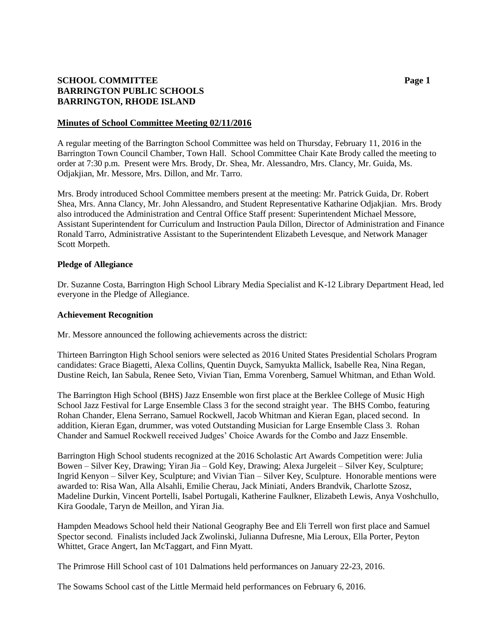# **SCHOOL COMMITTEE Page 1 BARRINGTON PUBLIC SCHOOLS BARRINGTON, RHODE ISLAND**

#### **Minutes of School Committee Meeting 02/11/2016**

A regular meeting of the Barrington School Committee was held on Thursday, February 11, 2016 in the Barrington Town Council Chamber, Town Hall. School Committee Chair Kate Brody called the meeting to order at 7:30 p.m. Present were Mrs. Brody, Dr. Shea, Mr. Alessandro, Mrs. Clancy, Mr. Guida, Ms. Odjakjian, Mr. Messore, Mrs. Dillon, and Mr. Tarro.

Mrs. Brody introduced School Committee members present at the meeting: Mr. Patrick Guida, Dr. Robert Shea, Mrs. Anna Clancy, Mr. John Alessandro, and Student Representative Katharine Odjakjian. Mrs. Brody also introduced the Administration and Central Office Staff present: Superintendent Michael Messore, Assistant Superintendent for Curriculum and Instruction Paula Dillon, Director of Administration and Finance Ronald Tarro, Administrative Assistant to the Superintendent Elizabeth Levesque, and Network Manager Scott Morpeth.

### **Pledge of Allegiance**

Dr. Suzanne Costa, Barrington High School Library Media Specialist and K-12 Library Department Head, led everyone in the Pledge of Allegiance.

### **Achievement Recognition**

Mr. Messore announced the following achievements across the district:

Thirteen Barrington High School seniors were selected as 2016 United States Presidential Scholars Program candidates: Grace Biagetti, Alexa Collins, Quentin Duyck, Samyukta Mallick, Isabelle Rea, Nina Regan, Dustine Reich, Ian Sabula, Renee Seto, Vivian Tian, Emma Vorenberg, Samuel Whitman, and Ethan Wold.

The Barrington High School (BHS) Jazz Ensemble won first place at the Berklee College of Music High School Jazz Festival for Large Ensemble Class 3 for the second straight year. The BHS Combo, featuring Rohan Chander, Elena Serrano, Samuel Rockwell, Jacob Whitman and Kieran Egan, placed second. In addition, Kieran Egan, drummer, was voted Outstanding Musician for Large Ensemble Class 3. Rohan Chander and Samuel Rockwell received Judges' Choice Awards for the Combo and Jazz Ensemble.

Barrington High School students recognized at the 2016 Scholastic Art Awards Competition were: Julia Bowen – Silver Key, Drawing; Yiran Jia – Gold Key, Drawing; Alexa Jurgeleit – Silver Key, Sculpture; Ingrid Kenyon – Silver Key, Sculpture; and Vivian Tian – Silver Key, Sculpture. Honorable mentions were awarded to: Risa Wan, Alla Alsahli, Emilie Cherau, Jack Miniati, Anders Brandvik, Charlotte Szosz, Madeline Durkin, Vincent Portelli, Isabel Portugali, Katherine Faulkner, Elizabeth Lewis, Anya Voshchullo, Kira Goodale, Taryn de Meillon, and Yiran Jia.

Hampden Meadows School held their National Geography Bee and Eli Terrell won first place and Samuel Spector second. Finalists included Jack Zwolinski, Julianna Dufresne, Mia Leroux, Ella Porter, Peyton Whittet, Grace Angert, Ian McTaggart, and Finn Myatt.

The Primrose Hill School cast of 101 Dalmations held performances on January 22-23, 2016.

The Sowams School cast of the Little Mermaid held performances on February 6, 2016.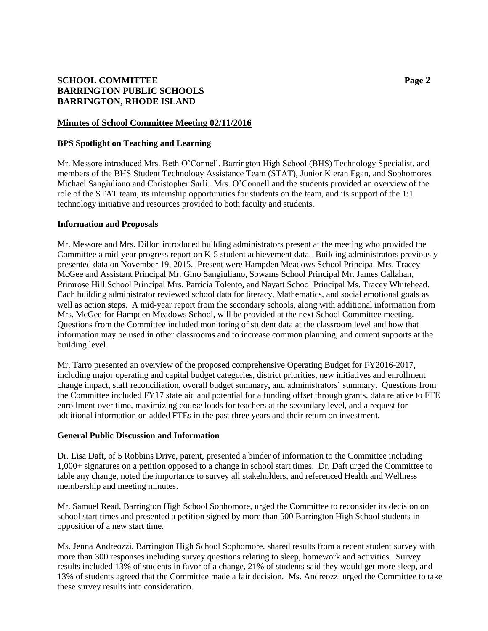# **SCHOOL COMMITTEE Page 2 BARRINGTON PUBLIC SCHOOLS BARRINGTON, RHODE ISLAND**

### **Minutes of School Committee Meeting 02/11/2016**

#### **BPS Spotlight on Teaching and Learning**

Mr. Messore introduced Mrs. Beth O'Connell, Barrington High School (BHS) Technology Specialist, and members of the BHS Student Technology Assistance Team (STAT), Junior Kieran Egan, and Sophomores Michael Sangiuliano and Christopher Sarli. Mrs. O'Connell and the students provided an overview of the role of the STAT team, its internship opportunities for students on the team, and its support of the 1:1 technology initiative and resources provided to both faculty and students.

#### **Information and Proposals**

Mr. Messore and Mrs. Dillon introduced building administrators present at the meeting who provided the Committee a mid-year progress report on K-5 student achievement data. Building administrators previously presented data on November 19, 2015. Present were Hampden Meadows School Principal Mrs. Tracey McGee and Assistant Principal Mr. Gino Sangiuliano, Sowams School Principal Mr. James Callahan, Primrose Hill School Principal Mrs. Patricia Tolento, and Nayatt School Principal Ms. Tracey Whitehead. Each building administrator reviewed school data for literacy, Mathematics, and social emotional goals as well as action steps. A mid-year report from the secondary schools, along with additional information from Mrs. McGee for Hampden Meadows School, will be provided at the next School Committee meeting. Questions from the Committee included monitoring of student data at the classroom level and how that information may be used in other classrooms and to increase common planning, and current supports at the building level.

Mr. Tarro presented an overview of the proposed comprehensive Operating Budget for FY2016-2017, including major operating and capital budget categories, district priorities, new initiatives and enrollment change impact, staff reconciliation, overall budget summary, and administrators' summary. Questions from the Committee included FY17 state aid and potential for a funding offset through grants, data relative to FTE enrollment over time, maximizing course loads for teachers at the secondary level, and a request for additional information on added FTEs in the past three years and their return on investment.

#### **General Public Discussion and Information**

Dr. Lisa Daft, of 5 Robbins Drive, parent, presented a binder of information to the Committee including 1,000+ signatures on a petition opposed to a change in school start times. Dr. Daft urged the Committee to table any change, noted the importance to survey all stakeholders, and referenced Health and Wellness membership and meeting minutes.

Mr. Samuel Read, Barrington High School Sophomore, urged the Committee to reconsider its decision on school start times and presented a petition signed by more than 500 Barrington High School students in opposition of a new start time.

Ms. Jenna Andreozzi, Barrington High School Sophomore, shared results from a recent student survey with more than 300 responses including survey questions relating to sleep, homework and activities. Survey results included 13% of students in favor of a change, 21% of students said they would get more sleep, and 13% of students agreed that the Committee made a fair decision. Ms. Andreozzi urged the Committee to take these survey results into consideration.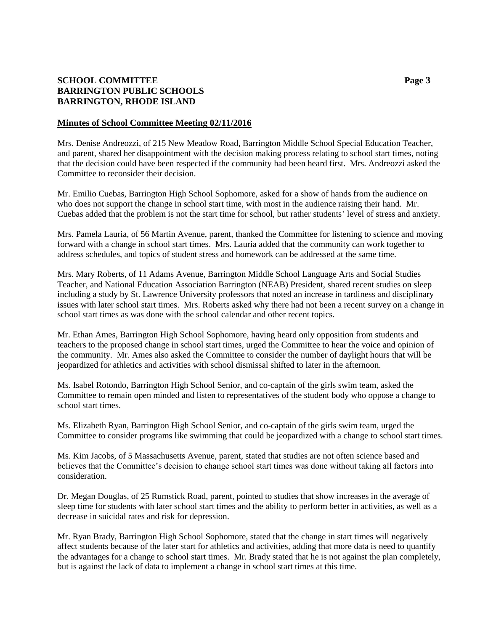# **SCHOOL COMMITTEE Page 3 BARRINGTON PUBLIC SCHOOLS BARRINGTON, RHODE ISLAND**

### **Minutes of School Committee Meeting 02/11/2016**

Mrs. Denise Andreozzi, of 215 New Meadow Road, Barrington Middle School Special Education Teacher, and parent, shared her disappointment with the decision making process relating to school start times, noting that the decision could have been respected if the community had been heard first. Mrs. Andreozzi asked the Committee to reconsider their decision.

Mr. Emilio Cuebas, Barrington High School Sophomore, asked for a show of hands from the audience on who does not support the change in school start time, with most in the audience raising their hand. Mr. Cuebas added that the problem is not the start time for school, but rather students' level of stress and anxiety.

Mrs. Pamela Lauria, of 56 Martin Avenue, parent, thanked the Committee for listening to science and moving forward with a change in school start times. Mrs. Lauria added that the community can work together to address schedules, and topics of student stress and homework can be addressed at the same time.

Mrs. Mary Roberts, of 11 Adams Avenue, Barrington Middle School Language Arts and Social Studies Teacher, and National Education Association Barrington (NEAB) President, shared recent studies on sleep including a study by St. Lawrence University professors that noted an increase in tardiness and disciplinary issues with later school start times. Mrs. Roberts asked why there had not been a recent survey on a change in school start times as was done with the school calendar and other recent topics.

Mr. Ethan Ames, Barrington High School Sophomore, having heard only opposition from students and teachers to the proposed change in school start times, urged the Committee to hear the voice and opinion of the community. Mr. Ames also asked the Committee to consider the number of daylight hours that will be jeopardized for athletics and activities with school dismissal shifted to later in the afternoon.

Ms. Isabel Rotondo, Barrington High School Senior, and co-captain of the girls swim team, asked the Committee to remain open minded and listen to representatives of the student body who oppose a change to school start times.

Ms. Elizabeth Ryan, Barrington High School Senior, and co-captain of the girls swim team, urged the Committee to consider programs like swimming that could be jeopardized with a change to school start times.

Ms. Kim Jacobs, of 5 Massachusetts Avenue, parent, stated that studies are not often science based and believes that the Committee's decision to change school start times was done without taking all factors into consideration.

Dr. Megan Douglas, of 25 Rumstick Road, parent, pointed to studies that show increases in the average of sleep time for students with later school start times and the ability to perform better in activities, as well as a decrease in suicidal rates and risk for depression.

Mr. Ryan Brady, Barrington High School Sophomore, stated that the change in start times will negatively affect students because of the later start for athletics and activities, adding that more data is need to quantify the advantages for a change to school start times. Mr. Brady stated that he is not against the plan completely, but is against the lack of data to implement a change in school start times at this time.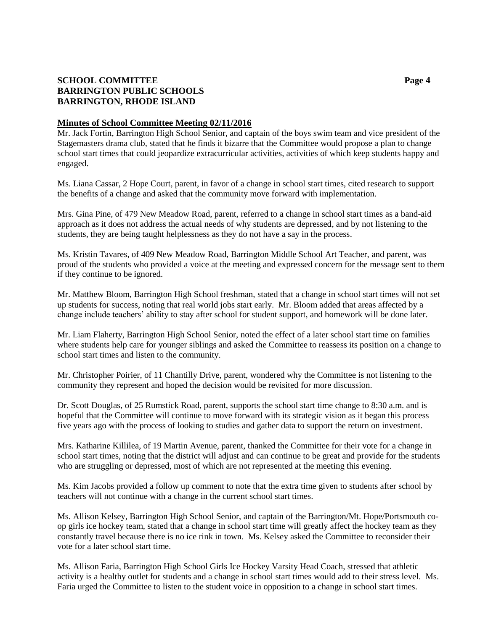# **SCHOOL COMMITTEE Page 4 BARRINGTON PUBLIC SCHOOLS BARRINGTON, RHODE ISLAND**

### **Minutes of School Committee Meeting 02/11/2016**

Mr. Jack Fortin, Barrington High School Senior, and captain of the boys swim team and vice president of the Stagemasters drama club, stated that he finds it bizarre that the Committee would propose a plan to change school start times that could jeopardize extracurricular activities, activities of which keep students happy and engaged.

Ms. Liana Cassar, 2 Hope Court, parent, in favor of a change in school start times, cited research to support the benefits of a change and asked that the community move forward with implementation.

Mrs. Gina Pine, of 479 New Meadow Road, parent, referred to a change in school start times as a band-aid approach as it does not address the actual needs of why students are depressed, and by not listening to the students, they are being taught helplessness as they do not have a say in the process.

Ms. Kristin Tavares, of 409 New Meadow Road, Barrington Middle School Art Teacher, and parent, was proud of the students who provided a voice at the meeting and expressed concern for the message sent to them if they continue to be ignored.

Mr. Matthew Bloom, Barrington High School freshman, stated that a change in school start times will not set up students for success, noting that real world jobs start early. Mr. Bloom added that areas affected by a change include teachers' ability to stay after school for student support, and homework will be done later.

Mr. Liam Flaherty, Barrington High School Senior, noted the effect of a later school start time on families where students help care for younger siblings and asked the Committee to reassess its position on a change to school start times and listen to the community.

Mr. Christopher Poirier, of 11 Chantilly Drive, parent, wondered why the Committee is not listening to the community they represent and hoped the decision would be revisited for more discussion.

Dr. Scott Douglas, of 25 Rumstick Road, parent, supports the school start time change to 8:30 a.m. and is hopeful that the Committee will continue to move forward with its strategic vision as it began this process five years ago with the process of looking to studies and gather data to support the return on investment.

Mrs. Katharine Killilea, of 19 Martin Avenue, parent, thanked the Committee for their vote for a change in school start times, noting that the district will adjust and can continue to be great and provide for the students who are struggling or depressed, most of which are not represented at the meeting this evening.

Ms. Kim Jacobs provided a follow up comment to note that the extra time given to students after school by teachers will not continue with a change in the current school start times.

Ms. Allison Kelsey, Barrington High School Senior, and captain of the Barrington/Mt. Hope/Portsmouth coop girls ice hockey team, stated that a change in school start time will greatly affect the hockey team as they constantly travel because there is no ice rink in town. Ms. Kelsey asked the Committee to reconsider their vote for a later school start time.

Ms. Allison Faria, Barrington High School Girls Ice Hockey Varsity Head Coach, stressed that athletic activity is a healthy outlet for students and a change in school start times would add to their stress level. Ms. Faria urged the Committee to listen to the student voice in opposition to a change in school start times.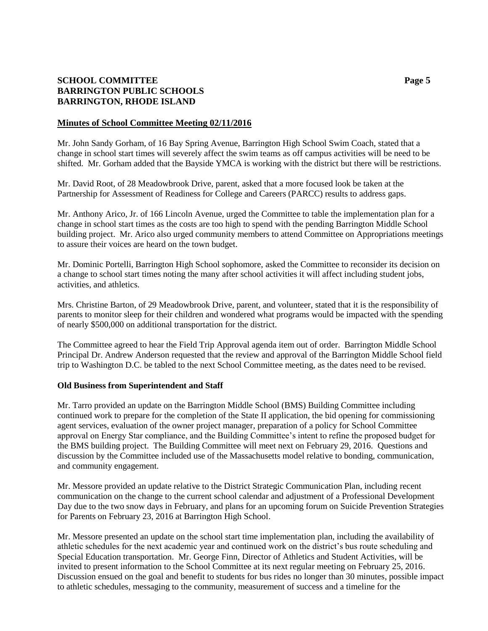# **SCHOOL COMMITTEE Page 5 BARRINGTON PUBLIC SCHOOLS BARRINGTON, RHODE ISLAND**

### **Minutes of School Committee Meeting 02/11/2016**

Mr. John Sandy Gorham, of 16 Bay Spring Avenue, Barrington High School Swim Coach, stated that a change in school start times will severely affect the swim teams as off campus activities will be need to be shifted. Mr. Gorham added that the Bayside YMCA is working with the district but there will be restrictions.

Mr. David Root, of 28 Meadowbrook Drive, parent, asked that a more focused look be taken at the Partnership for Assessment of Readiness for College and Careers (PARCC) results to address gaps.

Mr. Anthony Arico, Jr. of 166 Lincoln Avenue, urged the Committee to table the implementation plan for a change in school start times as the costs are too high to spend with the pending Barrington Middle School building project. Mr. Arico also urged community members to attend Committee on Appropriations meetings to assure their voices are heard on the town budget.

Mr. Dominic Portelli, Barrington High School sophomore, asked the Committee to reconsider its decision on a change to school start times noting the many after school activities it will affect including student jobs, activities, and athletics.

Mrs. Christine Barton, of 29 Meadowbrook Drive, parent, and volunteer, stated that it is the responsibility of parents to monitor sleep for their children and wondered what programs would be impacted with the spending of nearly \$500,000 on additional transportation for the district.

The Committee agreed to hear the Field Trip Approval agenda item out of order. Barrington Middle School Principal Dr. Andrew Anderson requested that the review and approval of the Barrington Middle School field trip to Washington D.C. be tabled to the next School Committee meeting, as the dates need to be revised.

## **Old Business from Superintendent and Staff**

Mr. Tarro provided an update on the Barrington Middle School (BMS) Building Committee including continued work to prepare for the completion of the State II application, the bid opening for commissioning agent services, evaluation of the owner project manager, preparation of a policy for School Committee approval on Energy Star compliance, and the Building Committee's intent to refine the proposed budget for the BMS building project. The Building Committee will meet next on February 29, 2016. Questions and discussion by the Committee included use of the Massachusetts model relative to bonding, communication, and community engagement.

Mr. Messore provided an update relative to the District Strategic Communication Plan, including recent communication on the change to the current school calendar and adjustment of a Professional Development Day due to the two snow days in February, and plans for an upcoming forum on Suicide Prevention Strategies for Parents on February 23, 2016 at Barrington High School.

Mr. Messore presented an update on the school start time implementation plan, including the availability of athletic schedules for the next academic year and continued work on the district's bus route scheduling and Special Education transportation. Mr. George Finn, Director of Athletics and Student Activities, will be invited to present information to the School Committee at its next regular meeting on February 25, 2016. Discussion ensued on the goal and benefit to students for bus rides no longer than 30 minutes, possible impact to athletic schedules, messaging to the community, measurement of success and a timeline for the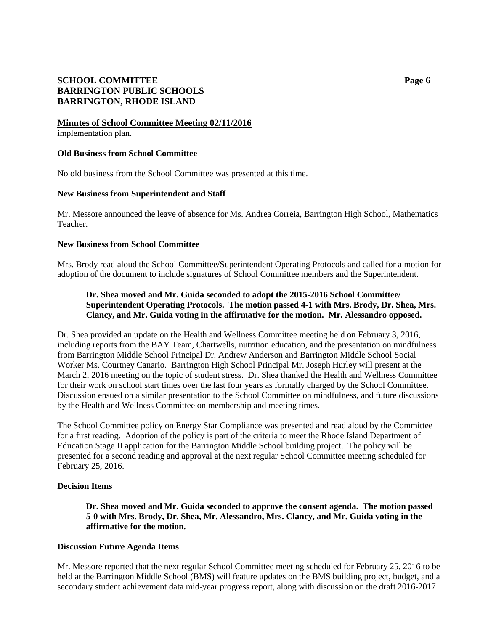## **SCHOOL COMMITTEE Page 6 BARRINGTON PUBLIC SCHOOLS BARRINGTON, RHODE ISLAND**

#### **Minutes of School Committee Meeting 02/11/2016** implementation plan.

## **Old Business from School Committee**

No old business from the School Committee was presented at this time.

## **New Business from Superintendent and Staff**

Mr. Messore announced the leave of absence for Ms. Andrea Correia, Barrington High School, Mathematics Teacher.

## **New Business from School Committee**

Mrs. Brody read aloud the School Committee/Superintendent Operating Protocols and called for a motion for adoption of the document to include signatures of School Committee members and the Superintendent.

# **Dr. Shea moved and Mr. Guida seconded to adopt the 2015-2016 School Committee/ Superintendent Operating Protocols. The motion passed 4-1 with Mrs. Brody, Dr. Shea, Mrs. Clancy, and Mr. Guida voting in the affirmative for the motion. Mr. Alessandro opposed.**

Dr. Shea provided an update on the Health and Wellness Committee meeting held on February 3, 2016, including reports from the BAY Team, Chartwells, nutrition education, and the presentation on mindfulness from Barrington Middle School Principal Dr. Andrew Anderson and Barrington Middle School Social Worker Ms. Courtney Canario. Barrington High School Principal Mr. Joseph Hurley will present at the March 2, 2016 meeting on the topic of student stress. Dr. Shea thanked the Health and Wellness Committee for their work on school start times over the last four years as formally charged by the School Committee. Discussion ensued on a similar presentation to the School Committee on mindfulness, and future discussions by the Health and Wellness Committee on membership and meeting times.

The School Committee policy on Energy Star Compliance was presented and read aloud by the Committee for a first reading. Adoption of the policy is part of the criteria to meet the Rhode Island Department of Education Stage II application for the Barrington Middle School building project. The policy will be presented for a second reading and approval at the next regular School Committee meeting scheduled for February 25, 2016.

## **Decision Items**

**Dr. Shea moved and Mr. Guida seconded to approve the consent agenda. The motion passed 5-0 with Mrs. Brody, Dr. Shea, Mr. Alessandro, Mrs. Clancy, and Mr. Guida voting in the affirmative for the motion.**

## **Discussion Future Agenda Items**

Mr. Messore reported that the next regular School Committee meeting scheduled for February 25, 2016 to be held at the Barrington Middle School (BMS) will feature updates on the BMS building project, budget, and a secondary student achievement data mid-year progress report, along with discussion on the draft 2016-2017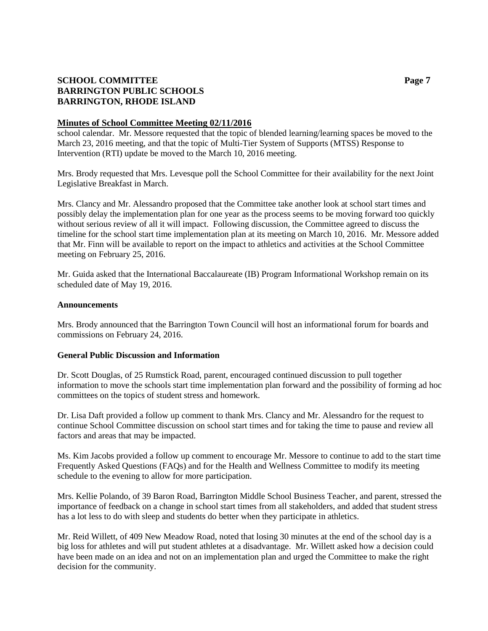# **SCHOOL COMMITTEE Page 7 BARRINGTON PUBLIC SCHOOLS BARRINGTON, RHODE ISLAND**

### **Minutes of School Committee Meeting 02/11/2016**

school calendar. Mr. Messore requested that the topic of blended learning/learning spaces be moved to the March 23, 2016 meeting, and that the topic of Multi-Tier System of Supports (MTSS) Response to Intervention (RTI) update be moved to the March 10, 2016 meeting.

Mrs. Brody requested that Mrs. Levesque poll the School Committee for their availability for the next Joint Legislative Breakfast in March.

Mrs. Clancy and Mr. Alessandro proposed that the Committee take another look at school start times and possibly delay the implementation plan for one year as the process seems to be moving forward too quickly without serious review of all it will impact. Following discussion, the Committee agreed to discuss the timeline for the school start time implementation plan at its meeting on March 10, 2016. Mr. Messore added that Mr. Finn will be available to report on the impact to athletics and activities at the School Committee meeting on February 25, 2016.

Mr. Guida asked that the International Baccalaureate (IB) Program Informational Workshop remain on its scheduled date of May 19, 2016.

#### **Announcements**

Mrs. Brody announced that the Barrington Town Council will host an informational forum for boards and commissions on February 24, 2016.

#### **General Public Discussion and Information**

Dr. Scott Douglas, of 25 Rumstick Road, parent, encouraged continued discussion to pull together information to move the schools start time implementation plan forward and the possibility of forming ad hoc committees on the topics of student stress and homework.

Dr. Lisa Daft provided a follow up comment to thank Mrs. Clancy and Mr. Alessandro for the request to continue School Committee discussion on school start times and for taking the time to pause and review all factors and areas that may be impacted.

Ms. Kim Jacobs provided a follow up comment to encourage Mr. Messore to continue to add to the start time Frequently Asked Questions (FAQs) and for the Health and Wellness Committee to modify its meeting schedule to the evening to allow for more participation.

Mrs. Kellie Polando, of 39 Baron Road, Barrington Middle School Business Teacher, and parent, stressed the importance of feedback on a change in school start times from all stakeholders, and added that student stress has a lot less to do with sleep and students do better when they participate in athletics.

Mr. Reid Willett, of 409 New Meadow Road, noted that losing 30 minutes at the end of the school day is a big loss for athletes and will put student athletes at a disadvantage. Mr. Willett asked how a decision could have been made on an idea and not on an implementation plan and urged the Committee to make the right decision for the community.